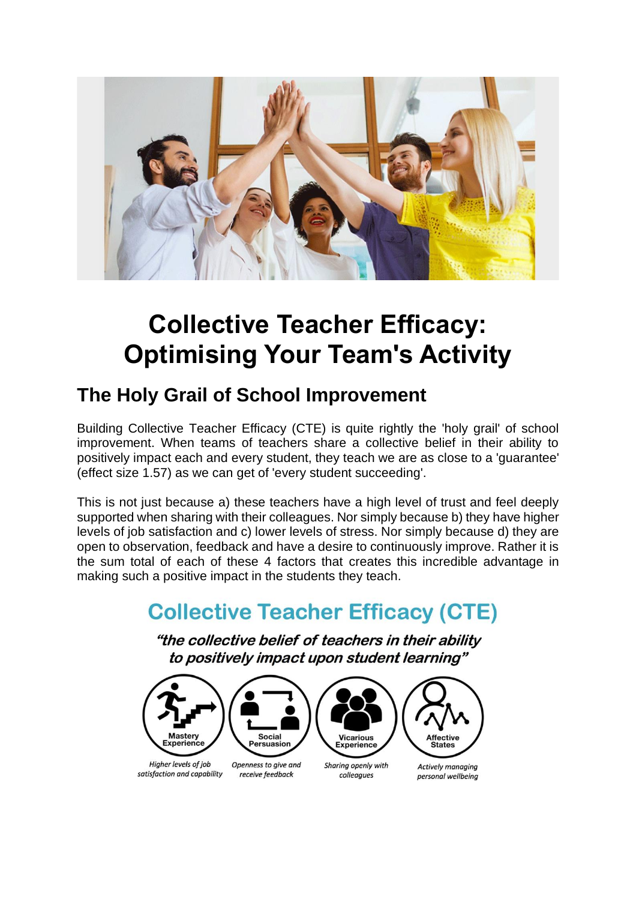

# **Collective Teacher Efficacy: Optimising Your Team's Activity**

#### **The Holy Grail of School Improvement**

Building Collective Teacher Efficacy (CTE) is quite rightly the 'holy grail' of school improvement. When teams of teachers share a collective belief in their ability to positively impact each and every student, they teach we are as close to a 'guarantee' (effect size 1.57) as we can get of 'every student succeeding'.

This is not just because a) these teachers have a high level of trust and feel deeply supported when sharing with their colleagues. Nor simply because b) they have higher levels of job satisfaction and c) lower levels of stress. Nor simply because d) they are open to observation, feedback and have a desire to continuously improve. Rather it is the sum total of each of these 4 factors that creates this incredible advantage in making such a positive impact in the students they teach.

# **Collective Teacher Efficacy (CTE)**

"the collective belief of teachers in their ability to positively impact upon student learning"

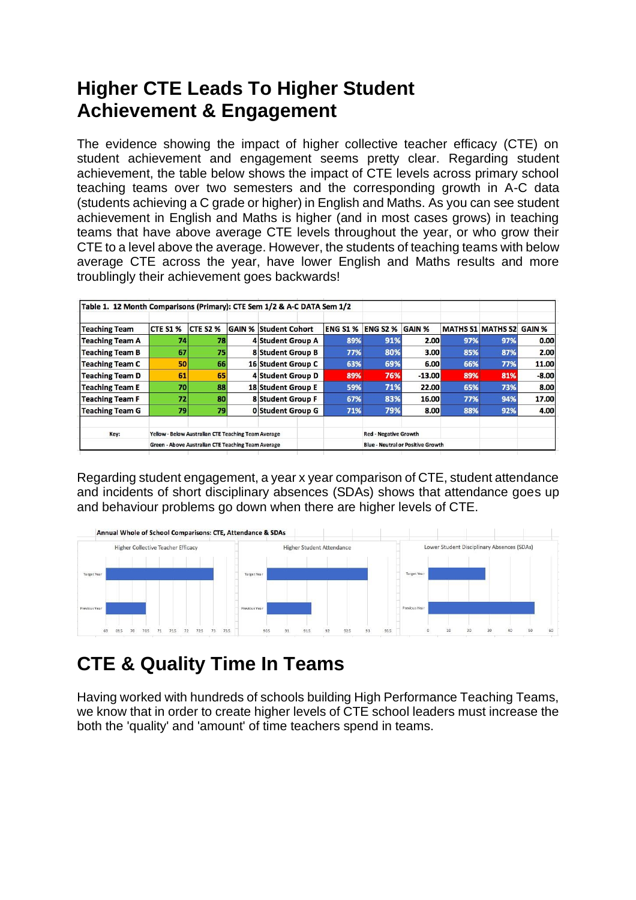#### **Higher CTE Leads To Higher Student Achievement & Engagement**

The evidence showing the impact of higher collective teacher efficacy (CTE) on student achievement and engagement seems pretty clear. Regarding student achievement, the table below shows the impact of CTE levels across primary school teaching teams over two semesters and the corresponding growth in A-C data (students achieving a C grade or higher) in English and Maths. As you can see student achievement in English and Maths is higher (and in most cases grows) in teaching teams that have above average CTE levels throughout the year, or who grow their CTE to a level above the average. However, the students of teaching teams with below average CTE across the year, have lower English and Maths results and more troublingly their achievement goes backwards!

|                        |                                                     |                 |        | Table 1. 12 Month Comparisons (Primary): CTE Sem 1/2 & A-C DATA Sem 1/2 |                 |                                          |               |     |                          |         |
|------------------------|-----------------------------------------------------|-----------------|--------|-------------------------------------------------------------------------|-----------------|------------------------------------------|---------------|-----|--------------------------|---------|
| <b>Teaching Team</b>   | <b>CTE S1 %</b>                                     | <b>CTE S2 %</b> | GAIN % | <b>Student Cohort</b>                                                   | <b>ENG S1 %</b> | <b>ENG S2 %</b>                          | <b>GAIN %</b> |     | <b>MATHS S1 MATHS S2</b> | GAIN %  |
| <b>Teaching Team A</b> | 74                                                  | 78              |        | <b>4 Student Group A</b>                                                | 89%             | 91%                                      | 2.00          | 97% | 97%                      | 0.00    |
| <b>Teaching Team B</b> | 67                                                  | 75              |        | <b>8 Student Group B</b>                                                | 77%             | 80%                                      | 3.00          | 85% | 87%                      | 2.00    |
| <b>Teaching Team C</b> | 50                                                  | 66              |        | 16 Student Group C                                                      | 63%             | 69%                                      | 6.00          | 66% | 77%                      | 11.00   |
| <b>Teaching Team D</b> | 61                                                  | 65              |        | <b>4 Student Group D</b>                                                | 89%             | 76%                                      | $-13.00$      | 89% | 81%                      | $-8.00$ |
| <b>Teaching Team E</b> | 70                                                  | 88              |        | 18 Student Group E                                                      | 59%             | 71%                                      | 22.00         | 65% | 73%                      | 8.00    |
| <b>Teaching Team F</b> | 72                                                  | 80              |        | <b>8 Student Group F</b>                                                | 67%             | 83%                                      | 16.00         | 77% | 94%                      | 17.00   |
| <b>Teaching Team G</b> | 79                                                  | 79              |        | <b>0 Student Group G</b>                                                | 71%             | 79%                                      | 8.00          | 88% | 92%                      | 4.00    |
| Key:                   | Yellow - Below Australian CTE Teaching Team Average |                 |        |                                                                         |                 | <b>Red - Negative Growth</b>             |               |     |                          |         |
|                        | Green - Above Australian CTE Teaching Team Average  |                 |        |                                                                         |                 | <b>Blue - Neutral or Positive Growth</b> |               |     |                          |         |

Regarding student engagement, a year x year comparison of CTE, student attendance and incidents of short disciplinary absences (SDAs) shows that attendance goes up and behaviour problems go down when there are higher levels of CTE.



# **CTE & Quality Time In Teams**

Having worked with hundreds of schools building High Performance Teaching Teams, we know that in order to create higher levels of CTE school leaders must increase the both the 'quality' and 'amount' of time teachers spend in teams.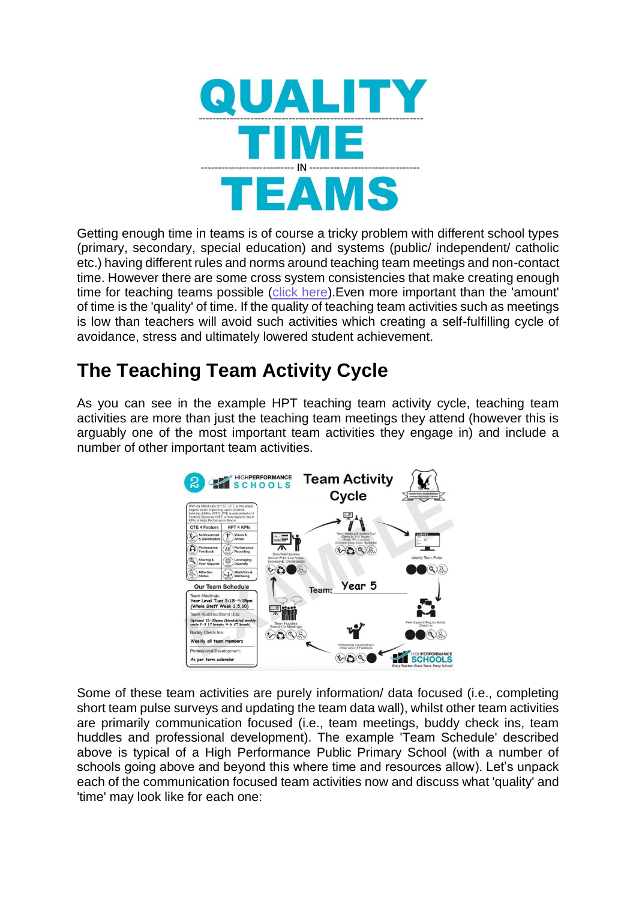

Getting enough time in teams is of course a tricky problem with different school types (primary, secondary, special education) and systems (public/ independent/ catholic etc.) having different rules and norms around teaching team meetings and non-contact time. However there are some cross system consistencies that make creating enough time for teaching teams possible (click [here\)](https://a380b626-c5f7-4e28-a923-fc5d40166d94.filesusr.com/ugd/3d9c4e_18c4ec0548c24953bdb95c9041a5aa18.pdf). Even more important than the 'amount' of time is the 'quality' of time. If the quality of teaching team activities such as meetings is low than teachers will avoid such activities which creating a self-fulfilling cycle of avoidance, stress and ultimately lowered student achievement.

## **The Teaching Team Activity Cycle**

As you can see in the example HPT teaching team activity cycle, teaching team activities are more than just the teaching team meetings they attend (however this is arguably one of the most important team activities they engage in) and include a number of other important team activities.



Some of these team activities are purely information/ data focused (i.e., completing short team pulse surveys and updating the team data wall), whilst other team activities are primarily communication focused (i.e., team meetings, buddy check ins, team huddles and professional development). The example 'Team Schedule' described above is typical of a High Performance Public Primary School (with a number of schools going above and beyond this where time and resources allow). Let's unpack each of the communication focused team activities now and discuss what 'quality' and 'time' may look like for each one: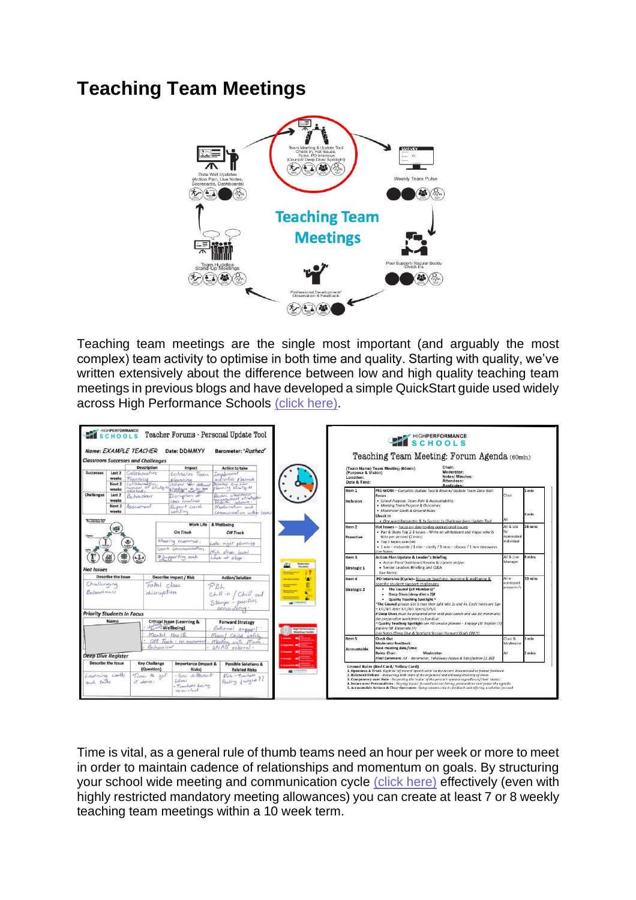#### **Teaching Team Meetings**



Teaching team meetings are the single most important (and arguably the most complex) team activity to optimise in both time and quality. Starting with quality, we've written extensively about the difference between low and high quality teaching team meetings in previous blogs and have developed a simple QuickStart guide used widely across High Performance Schools (click [here\).](https://a380b626-c5f7-4e28-a923-fc5d40166d94.filesusr.com/ugd/3d9c4e_e0770f10fa444bc4bc5d775493907ef5.pdf)



Time is vital, as a general rule of thumb teams need an hour per week or more to meet in order to maintain cadence of relationships and momentum on goals. By structuring your school wide meeting and communication cycle (click [here\)](https://a380b626-c5f7-4e28-a923-fc5d40166d94.filesusr.com/ugd/3d9c4e_18c4ec0548c24953bdb95c9041a5aa18.pdf) effectively (even with highly restricted mandatory meeting allowances) you can create at least 7 or 8 weekly teaching team meetings within a 10 week term.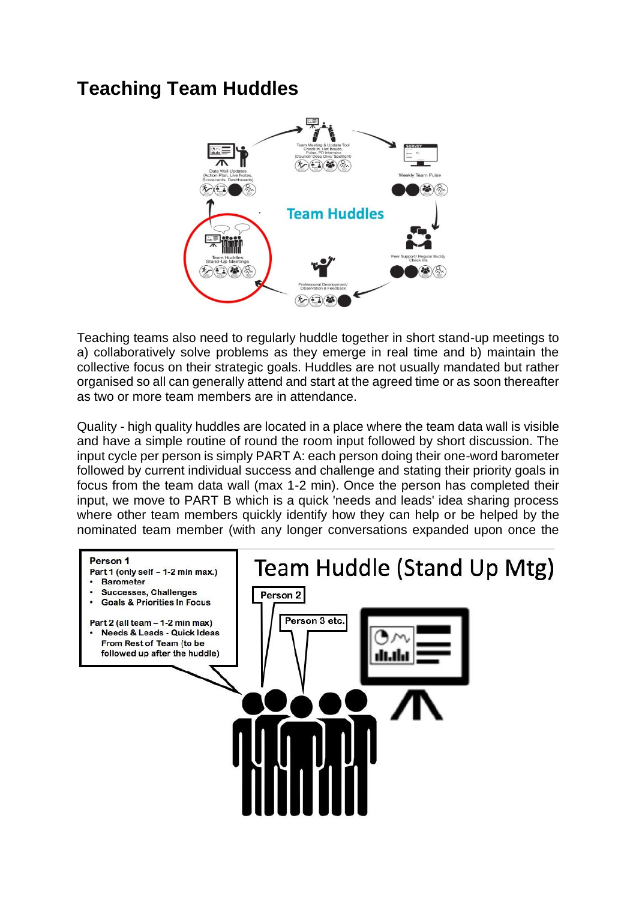#### **Teaching Team Huddles**



Teaching teams also need to regularly huddle together in short stand-up meetings to a) collaboratively solve problems as they emerge in real time and b) maintain the collective focus on their strategic goals. Huddles are not usually mandated but rather organised so all can generally attend and start at the agreed time or as soon thereafter as two or more team members are in attendance.

Quality - high quality huddles are located in a place where the team data wall is visible and have a simple routine of round the room input followed by short discussion. The input cycle per person is simply PART A: each person doing their one-word barometer followed by current individual success and challenge and stating their priority goals in focus from the team data wall (max 1-2 min). Once the person has completed their input, we move to PART B which is a quick 'needs and leads' idea sharing process where other team members quickly identify how they can help or be helped by the nominated team member (with any longer conversations expanded upon once the

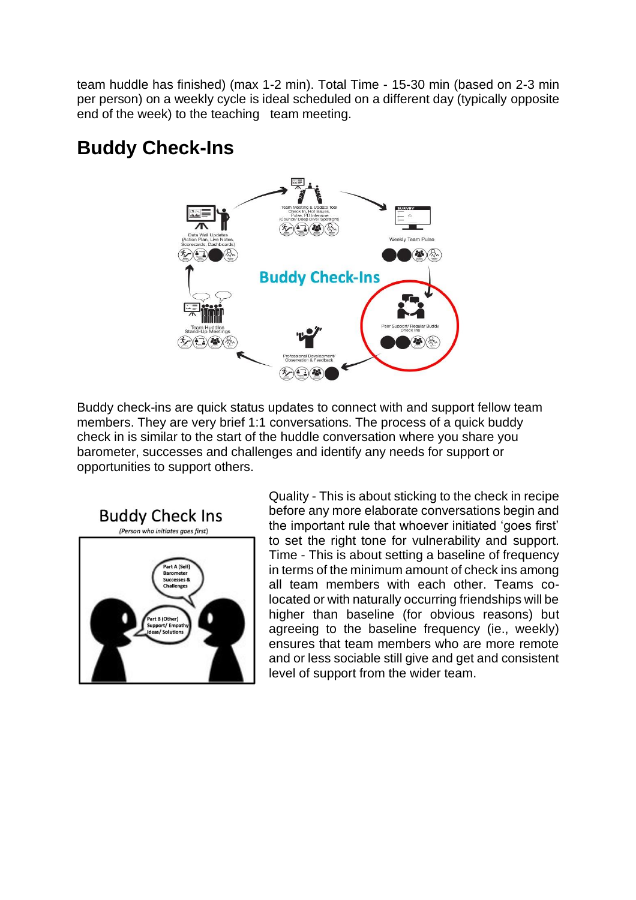team huddle has finished) (max 1-2 min). Total Time - 15-30 min (based on 2-3 min per person) on a weekly cycle is ideal scheduled on a different day (typically opposite end of the week) to the teaching team meeting.

## **Buddy Check-Ins**



Buddy check-ins are quick status updates to connect with and support fellow team members. They are very brief 1:1 conversations. The process of a quick buddy check in is similar to the start of the huddle conversation where you share you barometer, successes and challenges and identify any needs for support or opportunities to support others.



Quality - This is about sticking to the check in recipe before any more elaborate conversations begin and the important rule that whoever initiated 'goes first' to set the right tone for vulnerability and support. Time - This is about setting a baseline of frequency in terms of the minimum amount of check ins among all team members with each other. Teams colocated or with naturally occurring friendships will be higher than baseline (for obvious reasons) but agreeing to the baseline frequency (ie., weekly) ensures that team members who are more remote and or less sociable still give and get and consistent level of support from the wider team.